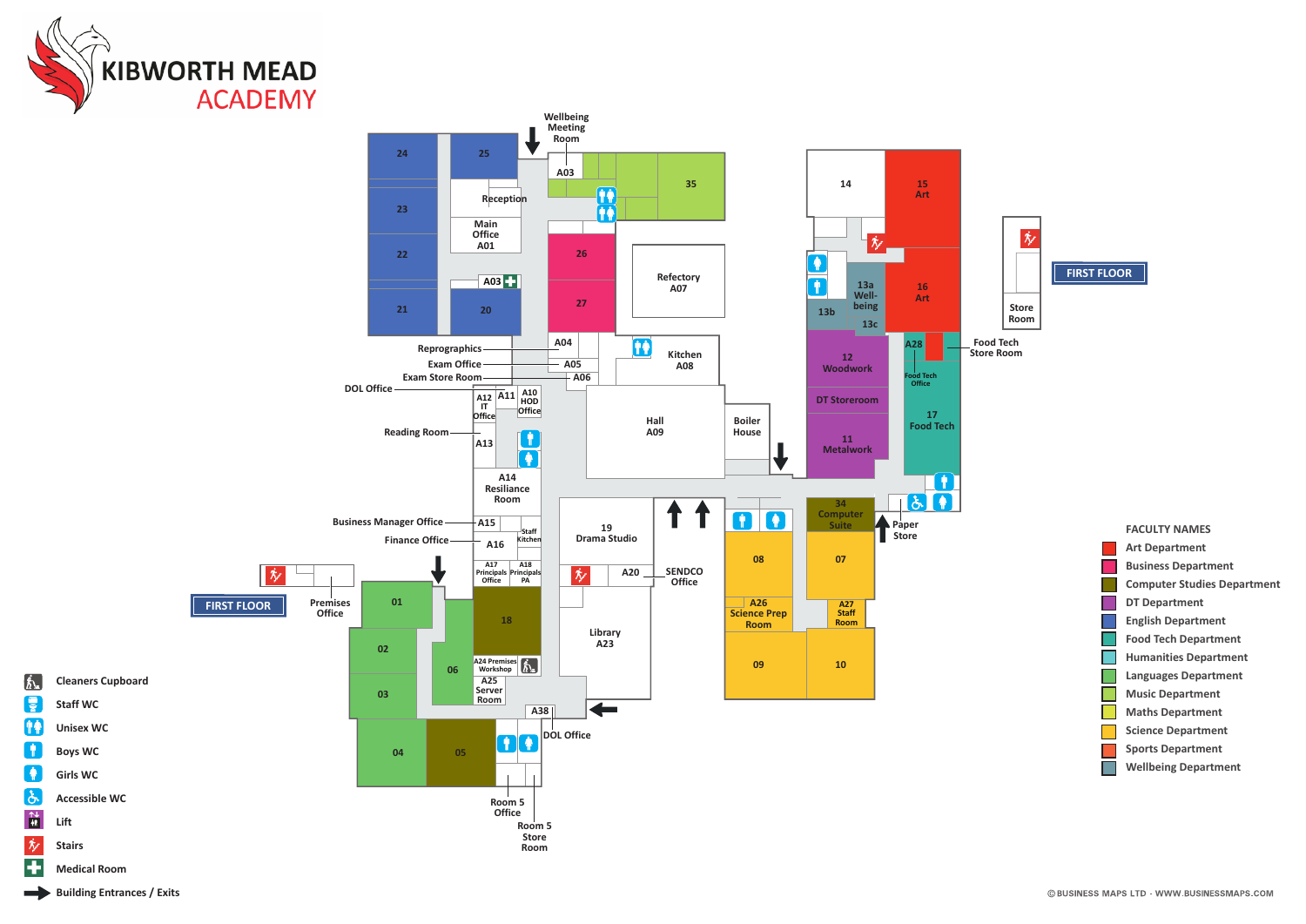



**Lift Stairs**

 $\Lambda$ ę 仲幸  $\blacksquare$ 

 $\bullet$  $\delta$  $\frac{\uparrow \downarrow}{\downarrow \uparrow}$ 友 E.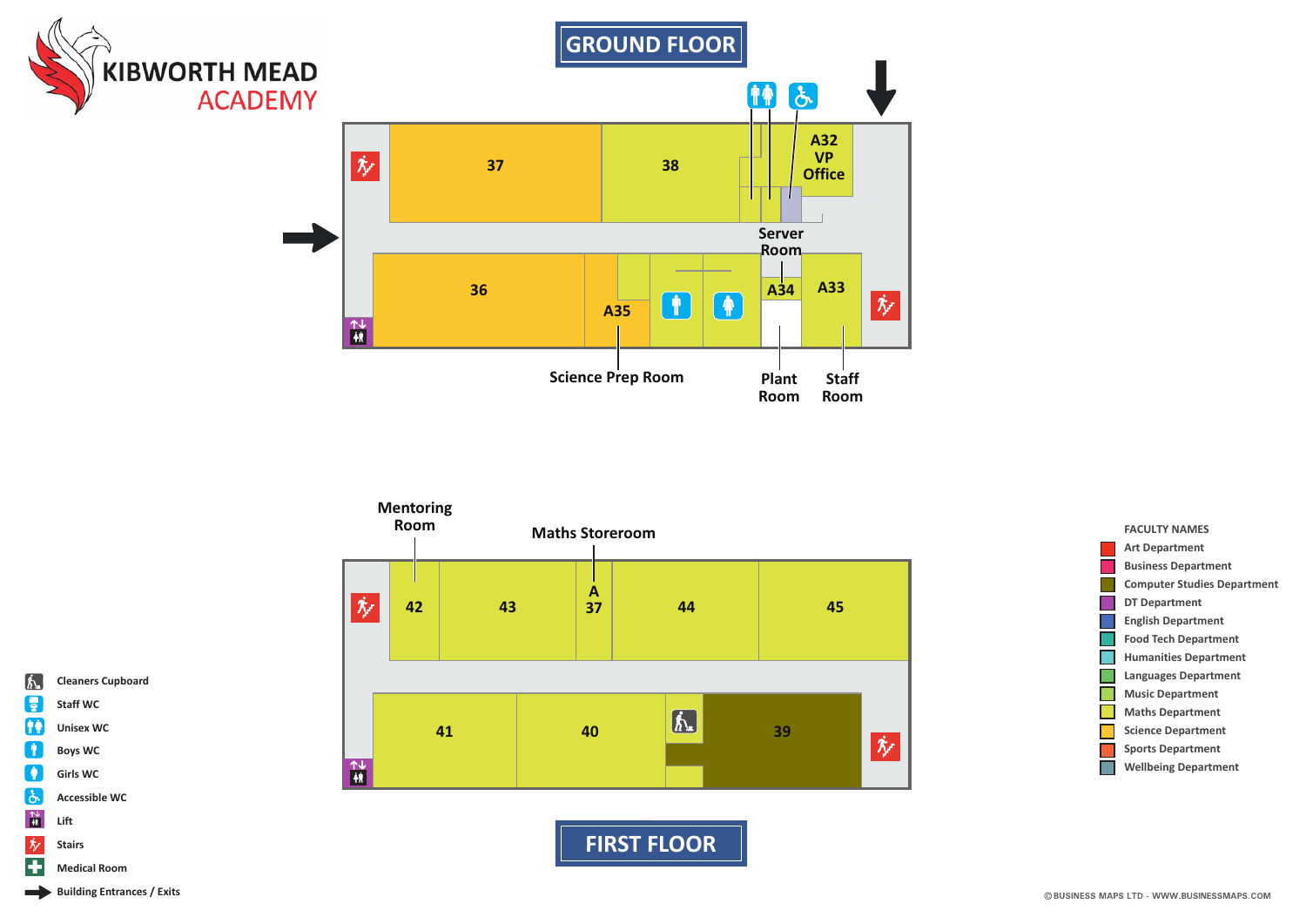



**FIRST FLOOR** 





**Cleaners Cupboard** 

Staff WC

**Unisex WC** 

**Boys WC** 

**Girls WC** 

Lift

**Stairs** 

**Accessible WC** 

 $\int_{\Omega}$ 

ę

仲帝

 $\overline{\mathbf{r}}$ 

 $\sqrt{ }$ 

 $\mathbf{\hat{c}}$ 

 $\frac{\uparrow\downarrow}{\uparrow\uparrow}$ 

 $\dot{\mathcal{N}}$ 

Ŧ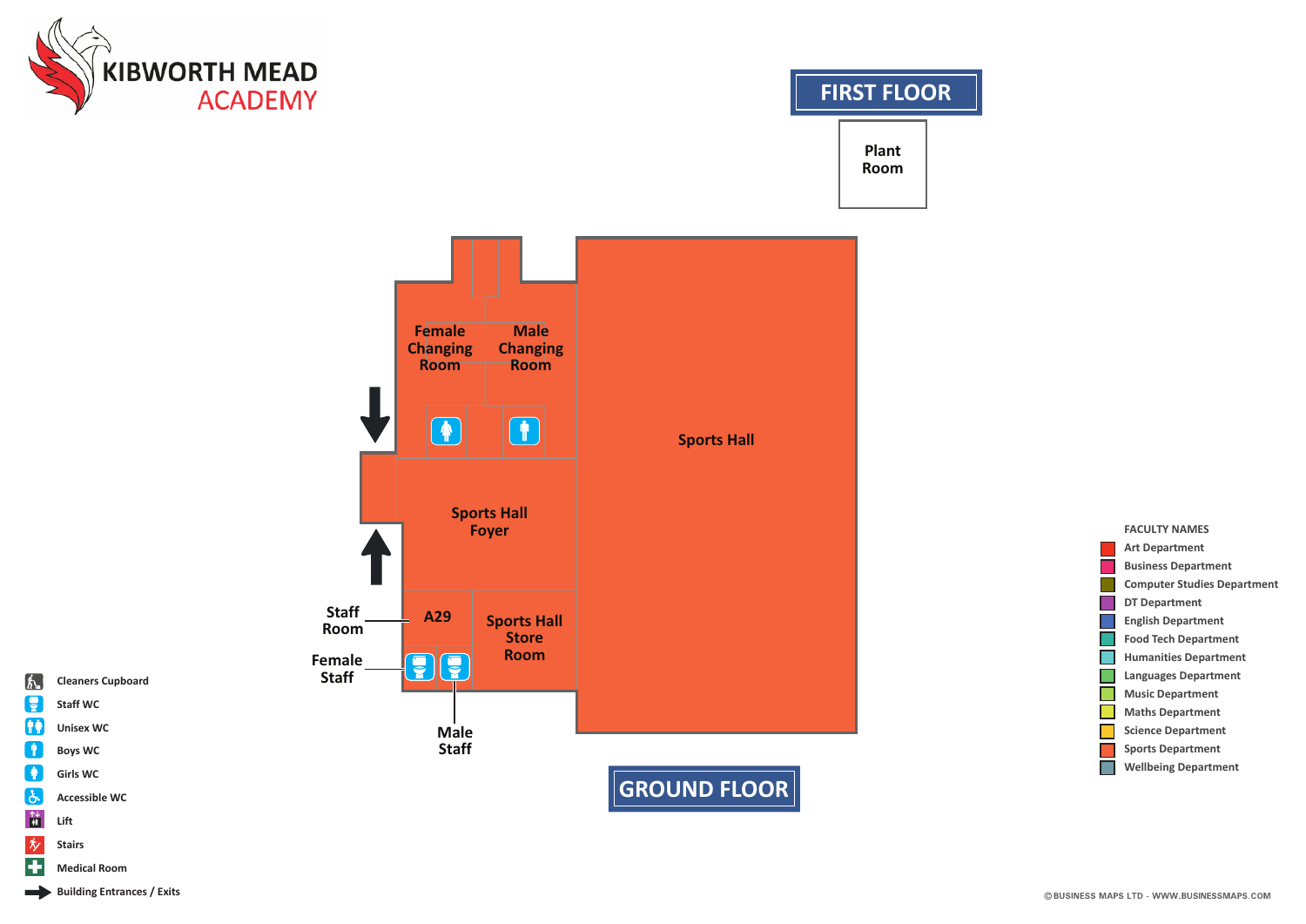

## **FIRST FLOOR**

**Plant Room**



**FACULTY NAMES Art Department Business Department Computer Studies Department DT Department English Department Food Tech Department Humanities Department Languages Department Music Department Maths Department Science Department** П **Sports Department Wellbeing DepartmentI** 

**Cleaners Cupboard**

**Staff WC Unisex WC Boys WC Girls WC Accessible WC**

 $\int_{\Omega}$ ę 仲帝  $\overline{\mathbf{r}}$ 

 $\sqrt{ }$  $\mathbf{\hat{c}}$  $\frac{\uparrow\downarrow}{\uparrow\uparrow}$  $\dot{\mathcal{N}}$ 重

**Lift Stairs Medical Room**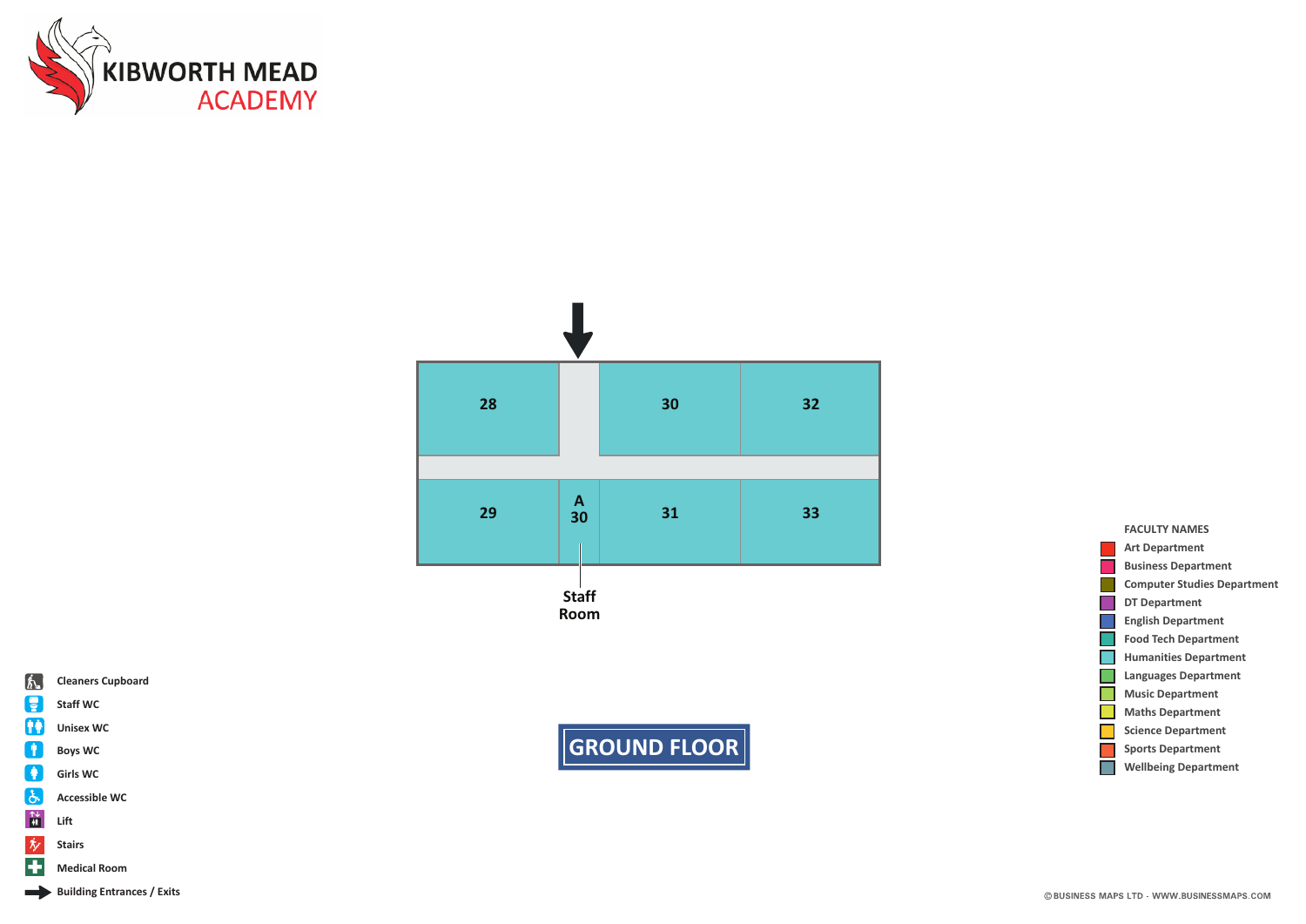



**GROUND FLOOR**



- Ŧ **Medical Room**
- Building Entrances / Exits

## **FACULTY NAMES Art Department Business Department** m. **Computer Studies Department** × **DT Department English Department Food Tech Department Humanities Department**  $\blacksquare$ **Languages Department Music Department**  $\blacksquare$ **Maths Department Science Department** F. **Sports Department Wellbeing Department** $\mathcal{C}^{\mathcal{A}}$

## © BUSINESS MAPS LTD - WWW.BUSINESSMAPS.COM